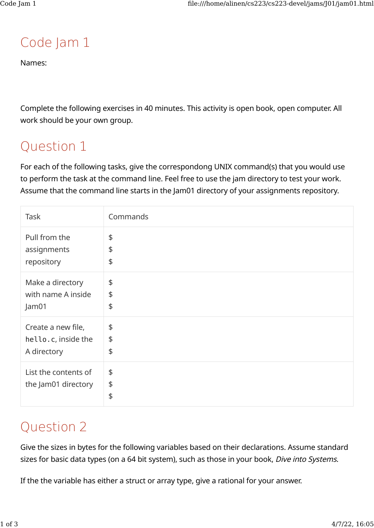# Code Jam 1

Names:

Complete the following exercises in 40 minutes. This activity is open book, open computer. All work should be your own group.

## Question 1

For each of the following tasks, give the correspondong UNIX command(s) that you would use to perform the task at the command line. Feel free to use the jam directory to test your work. Assume that the command line starts in the Jam01 directory of your assignments repository.

| Task                                        | Commands                   |
|---------------------------------------------|----------------------------|
| Pull from the                               | \$                         |
| assignments                                 | \$                         |
| repository                                  | \$                         |
| Make a directory                            | \$                         |
| with name A inside                          | \$                         |
| Jam01                                       | \$                         |
| Create a new file,                          | \$                         |
| hello.c, inside the                         | \$                         |
| A directory                                 | \$                         |
| List the contents of<br>the Jam01 directory | \$<br>\$<br>$\updownarrow$ |

## Question 2

Give the sizes in bytes for the following variables based on their declarations. Assume standard sizes for basic data types (on a 64 bit system), such as those in your book, Dive into Systems.

If the the variable has either a struct or array type, give a rational for your answer.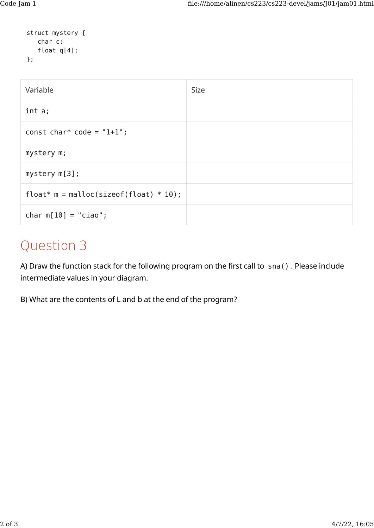```
struct mystery {
    char c;
    float q[4];
};
```

| Variable                                         | <b>Size</b> |
|--------------------------------------------------|-------------|
| int a;                                           |             |
| const char* code = $"1+1"$ ;                     |             |
| mystery m;                                       |             |
| $mystery$ $m[3]$ ;                               |             |
| float* $m = \text{malloc}(sizeof(float) * 10)$ ; |             |
| char $m[10] = "ciao";$                           |             |

## Question 3

A) Draw the function stack for the following program on the first call to sna() . Please include intermediate values in your diagram.

B) What are the contents of L and b at the end of the program?